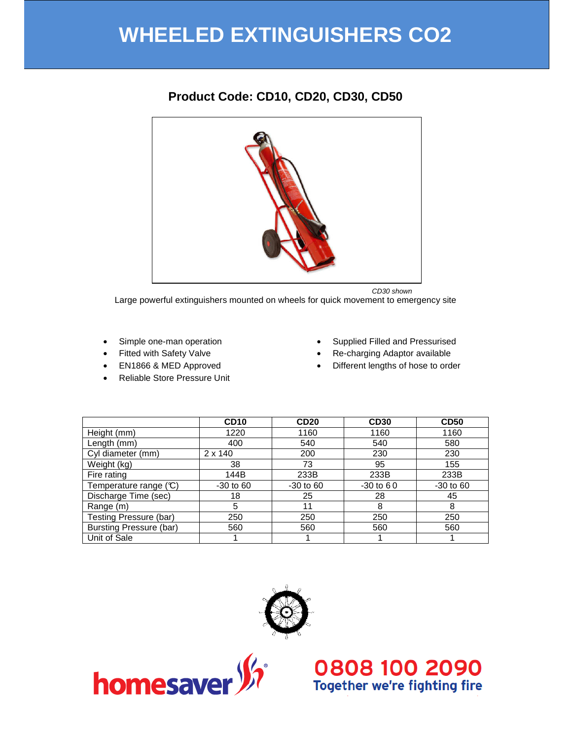# **WHEELED EXTINGUISHERS CO2**

# **Product Code: CD10, CD20, CD30, CD50**



Large powerful extinguishers mounted on wheels for quick movement to emergency site

- Simple one-man operation
- Fitted with Safety Valve
- EN1866 & MED Approved
- Reliable Store Pressure Unit
- Supplied Filled and Pressurised
- Re-charging Adaptor available
- Different lengths of hose to order

|                                | CD <sub>10</sub> | <b>CD20</b> | <b>CD30</b> | <b>CD50</b> |
|--------------------------------|------------------|-------------|-------------|-------------|
| Height (mm)                    | 1220             | 1160        | 1160        | 1160        |
| Length (mm)                    | 400              | 540         | 540         | 580         |
| Cyl diameter (mm)              | $2 \times 140$   | 200         | 230         | 230         |
| Weight (kg)                    | 38               | 73          | 95          | 155         |
| Fire rating                    | 144B             | 233B        | 233B        | 233B        |
| Temperature range (C)          | $-30$ to 60      | $-30$ to 60 | $-30$ to 60 | $-30$ to 60 |
| Discharge Time (sec)           | 18               | 25          | 28          | 45          |
| Range (m)                      | 5                | 11          | 8           | 8           |
| Testing Pressure (bar)         | 250              | 250         | 250         | 250         |
| <b>Bursting Pressure (bar)</b> | 560              | 560         | 560         | 560         |
| Unit of Sale                   |                  |             |             |             |





# O808 100 2090<br>Together we're fighting fire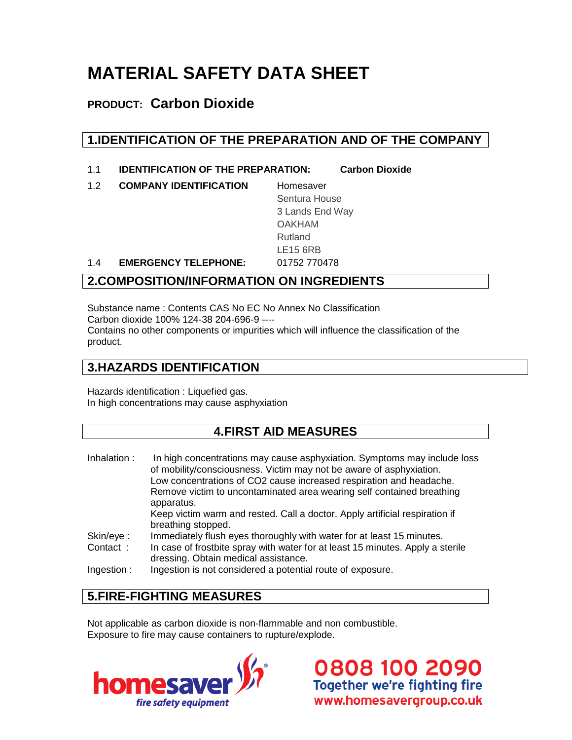# **MATERIAL SAFETY DATA SHEET**

# **PRODUCT: Carbon Dioxide**

# **1.IDENTIFICATION OF THE PREPARATION AND OF THE COMPANY**

- 1.1 **IDENTIFICATION OF THE PREPARATION: Carbon Dioxide**
- 1.2 **COMPANY IDENTIFICATION** Homesaver

Sentura House 3 Lands End Way OAKHAM Rutland LE15 6RB

1.4 **EMERGENCY TELEPHONE:** 01752 770478

# **2.COMPOSITION/INFORMATION ON INGREDIENTS**

Substance name : Contents CAS No EC No Annex No Classification Carbon dioxide 100% 124-38 204-696-9 ---- Contains no other components or impurities which will influence the classification of the product.

# **3.HAZARDS IDENTIFICATION**

Hazards identification : Liquefied gas. In high concentrations may cause asphyxiation

## **4.FIRST AID MEASURES**

Inhalation : In high concentrations may cause asphyxiation. Symptoms may include loss of mobility/consciousness. Victim may not be aware of asphyxiation. Low concentrations of CO2 cause increased respiration and headache. Remove victim to uncontaminated area wearing self contained breathing apparatus. Keep victim warm and rested. Call a doctor. Apply artificial respiration if breathing stopped. Skin/eye : Immediately flush eyes thoroughly with water for at least 15 minutes. Contact : In case of frostbite spray with water for at least 15 minutes. Apply a sterile dressing. Obtain medical assistance.

Ingestion : Ingestion is not considered a potential route of exposure.

# **5.FIRE-FIGHTING MEASURES**

Not applicable as carbon dioxide is non-flammable and non combustible. Exposure to fire may cause containers to rupture/explode.

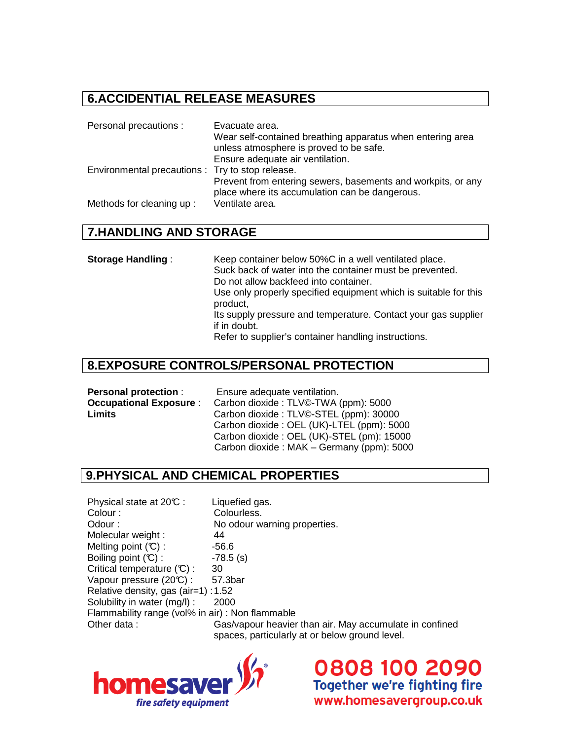#### **6.ACCIDENTIAL RELEASE MEASURES**

| Personal precautions :                           | Evacuate area.<br>Wear self-contained breathing apparatus when entering area<br>unless atmosphere is proved to be safe.<br>Ensure adequate air ventilation. |
|--------------------------------------------------|-------------------------------------------------------------------------------------------------------------------------------------------------------------|
| Environmental precautions : Try to stop release. | Prevent from entering sewers, basements and workpits, or any<br>place where its accumulation can be dangerous.                                              |
| Methods for cleaning up:                         | Ventilate area.                                                                                                                                             |

#### **7.HANDLING AND STORAGE**

| <b>Storage Handling:</b> | Keep container below 50%C in a well ventilated place.                        |
|--------------------------|------------------------------------------------------------------------------|
|                          | Suck back of water into the container must be prevented.                     |
|                          | Do not allow backfeed into container.                                        |
|                          | Use only properly specified equipment which is suitable for this<br>product, |
|                          | Its supply pressure and temperature. Contact your gas supplier               |
|                          | if in doubt.                                                                 |
|                          | Refer to supplier's container handling instructions.                         |

#### **8.EXPOSURE CONTROLS/PERSONAL PROTECTION**

| <b>Personal protection:</b>   | Ensure adequate ventilation.              |
|-------------------------------|-------------------------------------------|
| <b>Occupational Exposure:</b> | Carbon dioxide: TLV©-TWA (ppm): 5000      |
| Limits                        | Carbon dioxide: TLV©-STEL (ppm): 30000    |
|                               | Carbon dioxide: OEL (UK)-LTEL (ppm): 5000 |
|                               | Carbon dioxide: OEL (UK)-STEL (pm): 15000 |
|                               | Carbon dioxide: MAK - Germany (ppm): 5000 |

### **9.PHYSICAL AND CHEMICAL PROPERTIES**

Physical state at 20°C : Liquefied gas. Colour : Colourless. Odour : No odour warning properties. Molecular weight : 44 Melting point  $(C)$  :  $-56.6$ Boiling point  $(C)$  :  $-78.5$  (s) Critical temperature  $(C)$  : 30 Vapour pressure  $(20\textdegree\textdegree)$  : 57.3bar Relative density, gas (air=1) : 1.52 Solubility in water (mg/l) : 2000 Flammability range (vol% in air) : Non flammable Other data : Gas/vapour heavier than air. May accumulate in confined spaces, particularly at or below ground level.

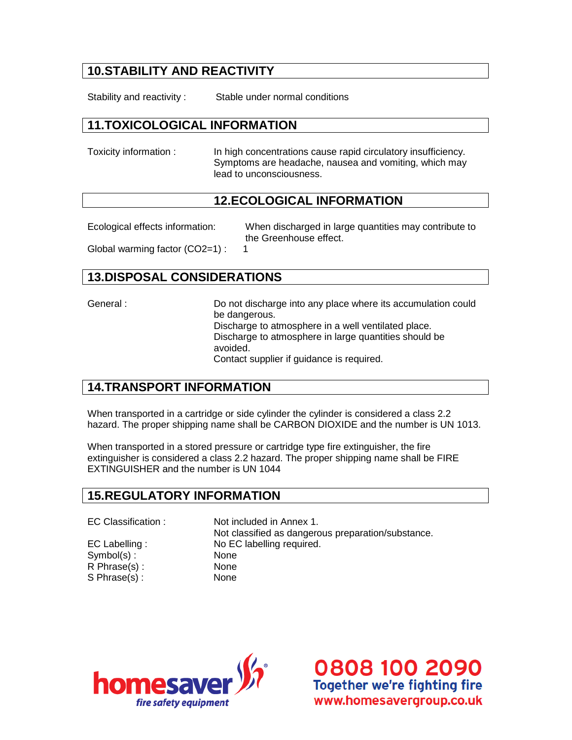# **10.STABILITY AND REACTIVITY**

Stability and reactivity : Stable under normal conditions

#### **11.TOXICOLOGICAL INFORMATION**

Toxicity information : In high concentrations cause rapid circulatory insufficiency. Symptoms are headache, nausea and vomiting, which may lead to unconsciousness.

#### **12.ECOLOGICAL INFORMATION**

Ecological effects information: When discharged in large quantities may contribute to the Greenhouse effect. Global warming factor (CO2=1) : 1

#### **13.DISPOSAL CONSIDERATIONS**

General : Do not discharge into any place where its accumulation could be dangerous. Discharge to atmosphere in a well ventilated place. Discharge to atmosphere in large quantities should be avoided. Contact supplier if guidance is required.

#### **14.TRANSPORT INFORMATION**

When transported in a cartridge or side cylinder the cylinder is considered a class 2.2 hazard. The proper shipping name shall be CARBON DIOXIDE and the number is UN 1013.

When transported in a stored pressure or cartridge type fire extinguisher, the fire extinguisher is considered a class 2.2 hazard. The proper shipping name shall be FIRE EXTINGUISHER and the number is UN 1044

#### **15.REGULATORY INFORMATION**

Symbol(s) : None R Phrase(s) : None S Phrase(s) : None

EC Classification : Not included in Annex 1. Not classified as dangerous preparation/substance. EC Labelling : No EC labelling required.